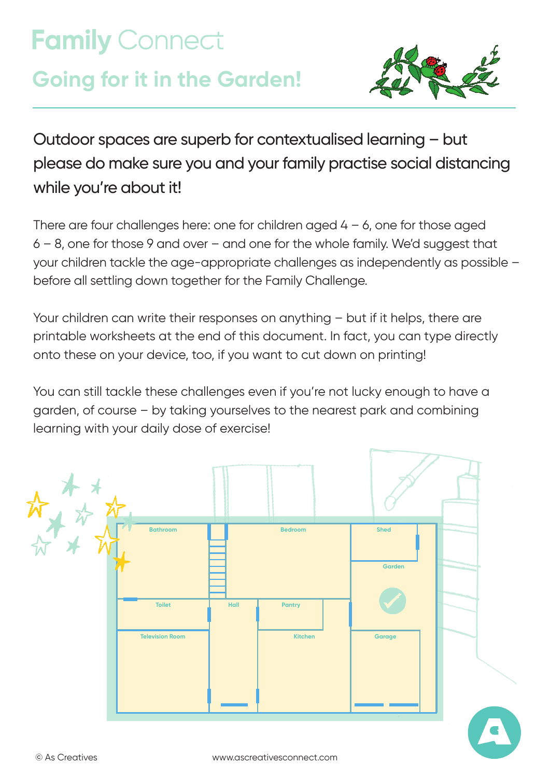# **Family Connect Going for it in the Garden!**



Outdoor spaces are superb for contextualised learning – but please do make sure you and your family practise social distancing while you're about it!

There are four challenges here: one for children aged  $4 - 6$ , one for those aged 6 – 8, one for those 9 and over – and one for the whole family. We'd suggest that your children tackle the age-appropriate challenges as independently as possible – before all settling down together for the Family Challenge.

Your children can write their responses on anything – but if it helps, there are printable worksheets at the end of this document. In fact, you can type directly onto these on your device, too, if you want to cut down on printing!

You can still tackle these challenges even if you're not lucky enough to have a garden, of course – by taking yourselves to the nearest park and combining learning with your daily dose of exercise!

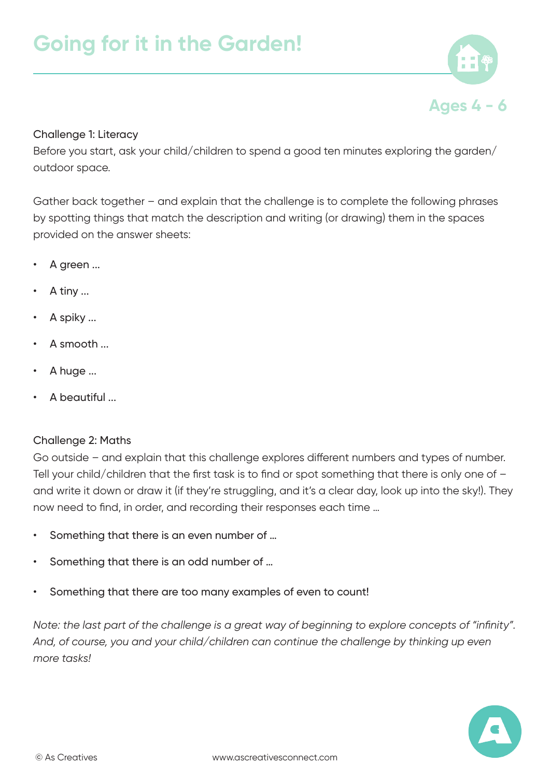

## Challenge 1: Literacy

Before you start, ask your child/children to spend a good ten minutes exploring the garden/ outdoor space.

Gather back together – and explain that the challenge is to complete the following phrases by spotting things that match the description and writing (or drawing) them in the spaces provided on the answer sheets:

- A green ...
- A tiny ...
- A spiky ...
- A smooth ...
- A huge ...
- A beautiful ...

## Challenge 2: Maths

Go outside – and explain that this challenge explores different numbers and types of number. Tell your child/children that the first task is to find or spot something that there is only one of – and write it down or draw it (if they're struggling, and it's a clear day, look up into the sky!). They now need to find, in order, and recording their responses each time …

- Something that there is an even number of …
- Something that there is an odd number of …
- Something that there are too many examples of even to count!

*Note: the last part of the challenge is a great way of beginning to explore concepts of "infinity". And, of course, you and your child/children can continue the challenge by thinking up even more tasks!*

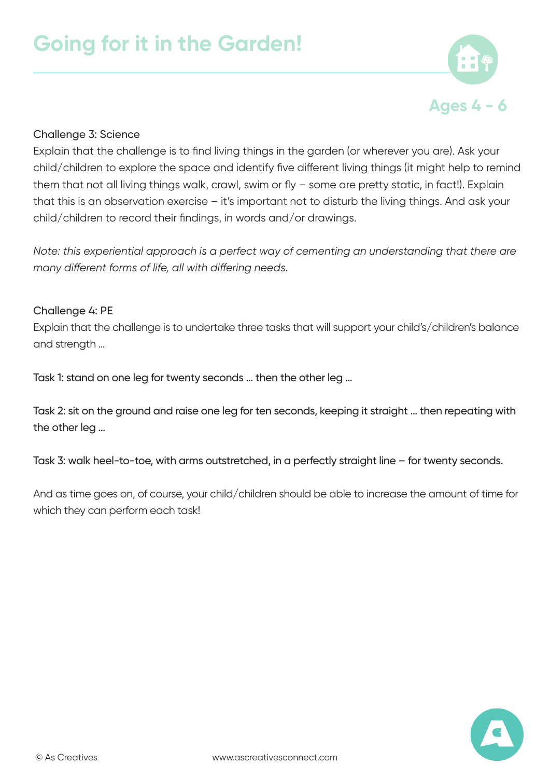

## Challenge 3: Science

Explain that the challenge is to find living things in the garden (or wherever you are). Ask your child/children to explore the space and identify five different living things (it might help to remind them that not all living things walk, crawl, swim or fly – some are pretty static, in fact!). Explain that this is an observation exercise – it's important not to disturb the living things. And ask your child/children to record their findings, in words and/or drawings.

*Note: this experiential approach is a perfect way of cementing an understanding that there are many different forms of life, all with differing needs.*

#### Challenge 4: PE

Explain that the challenge is to undertake three tasks that will support your child's/children's balance and strength …

Task 1: stand on one leg for twenty seconds … then the other leg …

Task 2: sit on the ground and raise one leg for ten seconds, keeping it straight … then repeating with the other leg …

Task 3: walk heel-to-toe, with arms outstretched, in a perfectly straight line – for twenty seconds.

And as time goes on, of course, your child/children should be able to increase the amount of time for which they can perform each task!

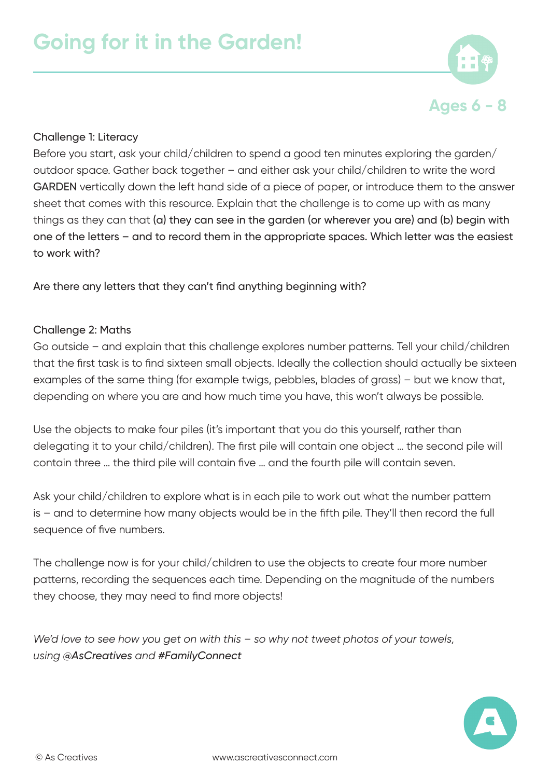

## Challenge 1: Literacy

Before you start, ask your child/children to spend a good ten minutes exploring the garden/ outdoor space. Gather back together – and either ask your child/children to write the word GARDEN vertically down the left hand side of a piece of paper, or introduce them to the answer sheet that comes with this resource. Explain that the challenge is to come up with as many things as they can that (a) they can see in the garden (or wherever you are) and (b) begin with one of the letters – and to record them in the appropriate spaces. Which letter was the easiest to work with?

Are there any letters that they can't find anything beginning with?

#### Challenge 2: Maths

Go outside – and explain that this challenge explores number patterns. Tell your child/children that the first task is to find sixteen small objects. Ideally the collection should actually be sixteen examples of the same thing (for example twigs, pebbles, blades of grass) – but we know that, depending on where you are and how much time you have, this won't always be possible.

Use the objects to make four piles (it's important that you do this yourself, rather than delegating it to your child/children). The first pile will contain one object … the second pile will contain three … the third pile will contain five … and the fourth pile will contain seven.

Ask your child/children to explore what is in each pile to work out what the number pattern is – and to determine how many objects would be in the fifth pile. They'll then record the full sequence of five numbers.

The challenge now is for your child/children to use the objects to create four more number patterns, recording the sequences each time. Depending on the magnitude of the numbers they choose, they may need to find more objects!

*We'd love to see how you get on with this – so why not tweet photos of your towels, using @AsCreatives and #FamilyConnect*

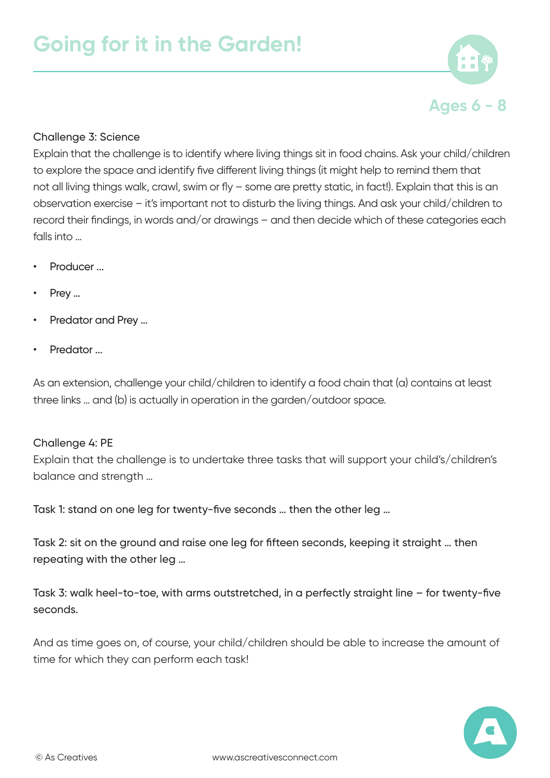

## Challenge 3: Science

Explain that the challenge is to identify where living things sit in food chains. Ask your child/children to explore the space and identify five different living things (it might help to remind them that not all living things walk, crawl, swim or fly – some are pretty static, in fact!). Explain that this is an observation exercise – it's important not to disturb the living things. And ask your child/children to record their findings, in words and/or drawings – and then decide which of these categories each falls into …

- Producer ...
- Prey ...
- Predator and Prey …
- Predator ...

As an extension, challenge your child/children to identify a food chain that (a) contains at least three links … and (b) is actually in operation in the garden/outdoor space.

#### Challenge 4: PE

Explain that the challenge is to undertake three tasks that will support your child's/children's balance and strength …

Task 1: stand on one leg for twenty-five seconds … then the other leg …

Task 2: sit on the ground and raise one leg for fifteen seconds, keeping it straight … then repeating with the other leg …

Task 3: walk heel-to-toe, with arms outstretched, in a perfectly straight line – for twenty-five seconds.

And as time goes on, of course, your child/children should be able to increase the amount of time for which they can perform each task!

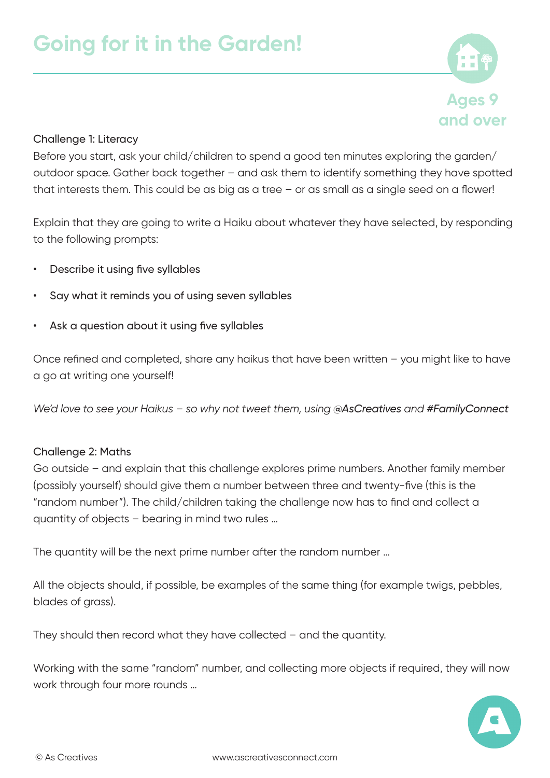

## Challenge 1: Literacy

Before you start, ask your child/children to spend a good ten minutes exploring the garden/ outdoor space. Gather back together – and ask them to identify something they have spotted that interests them. This could be as big as a tree – or as small as a single seed on a flower!

Explain that they are going to write a Haiku about whatever they have selected, by responding to the following prompts:

- Describe it using five syllables
- Say what it reminds you of using seven syllables
- Ask a question about it using five syllables

Once refined and completed, share any haikus that have been written – you might like to have a go at writing one yourself!

*We'd love to see your Haikus – so why not tweet them, using @AsCreatives and #FamilyConnect*

#### Challenge 2: Maths

Go outside – and explain that this challenge explores prime numbers. Another family member (possibly yourself) should give them a number between three and twenty-five (this is the "random number"). The child/children taking the challenge now has to find and collect a quantity of objects – bearing in mind two rules …

The quantity will be the next prime number after the random number …

All the objects should, if possible, be examples of the same thing (for example twigs, pebbles, blades of grass).

They should then record what they have collected – and the quantity.

Working with the same "random" number, and collecting more objects if required, they will now work through four more rounds …

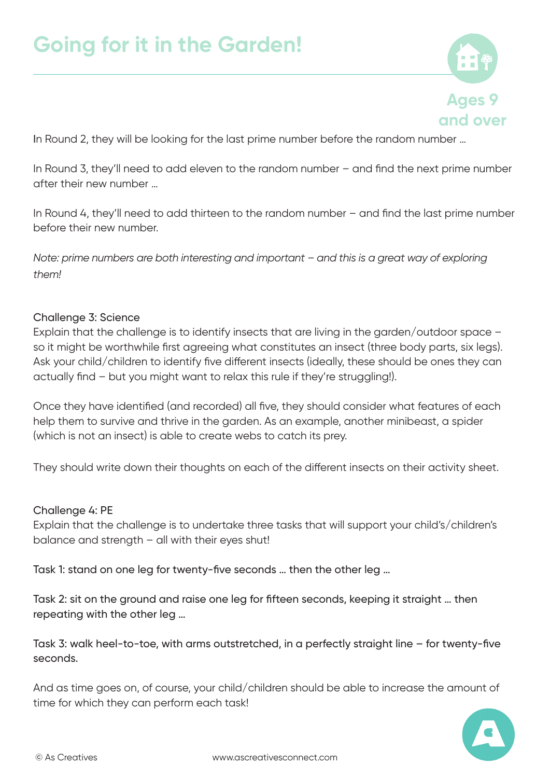

In Round 2, they will be looking for the last prime number before the random number …

In Round 3, they'll need to add eleven to the random number – and find the next prime number after their new number …

In Round 4, they'll need to add thirteen to the random number – and find the last prime number before their new number.

*Note: prime numbers are both interesting and important – and this is a great way of exploring them!*

## Challenge 3: Science

Explain that the challenge is to identify insects that are living in the garden/outdoor space – so it might be worthwhile first agreeing what constitutes an insect (three body parts, six legs). Ask your child/children to identify five different insects (ideally, these should be ones they can actually find – but you might want to relax this rule if they're struggling!).

Once they have identified (and recorded) all five, they should consider what features of each help them to survive and thrive in the garden. As an example, another minibeast, a spider (which is not an insect) is able to create webs to catch its prey.

They should write down their thoughts on each of the different insects on their activity sheet.

#### Challenge 4: PE

Explain that the challenge is to undertake three tasks that will support your child's/children's balance and strength – all with their eyes shut!

Task 1: stand on one leg for twenty-five seconds … then the other leg …

Task 2: sit on the ground and raise one leg for fifteen seconds, keeping it straight … then repeating with the other leg …

Task 3: walk heel-to-toe, with arms outstretched, in a perfectly straight line – for twenty-five seconds.

And as time goes on, of course, your child/children should be able to increase the amount of time for which they can perform each task!

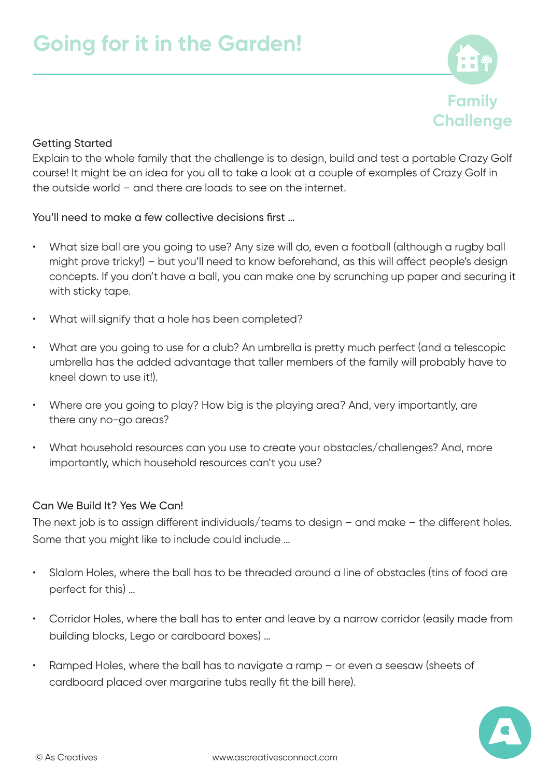

# Getting Started

Explain to the whole family that the challenge is to design, build and test a portable Crazy Golf course! It might be an idea for you all to take a look at a couple of examples of Crazy Golf in the outside world – and there are loads to see on the internet.

You'll need to make a few collective decisions first …

- What size ball are you going to use? Any size will do, even a football (although a rugby ball might prove tricky!) – but you'll need to know beforehand, as this will affect people's design concepts. If you don't have a ball, you can make one by scrunching up paper and securing it with sticky tape.
- What will signify that a hole has been completed?
- What are you going to use for a club? An umbrella is pretty much perfect (and a telescopic umbrella has the added advantage that taller members of the family will probably have to kneel down to use it!).
- Where are you going to play? How big is the playing area? And, very importantly, are there any no-go areas?
- What household resources can you use to create your obstacles/challenges? And, more importantly, which household resources can't you use?

## Can We Build It? Yes We Can!

The next job is to assign different individuals/teams to design – and make – the different holes. Some that you might like to include could include …

- Slalom Holes, where the ball has to be threaded around a line of obstacles (tins of food are perfect for this) …
- Corridor Holes, where the ball has to enter and leave by a narrow corridor (easily made from building blocks, Lego or cardboard boxes) …
- Ramped Holes, where the ball has to navigate a ramp or even a seesaw (sheets of cardboard placed over margarine tubs really fit the bill here).